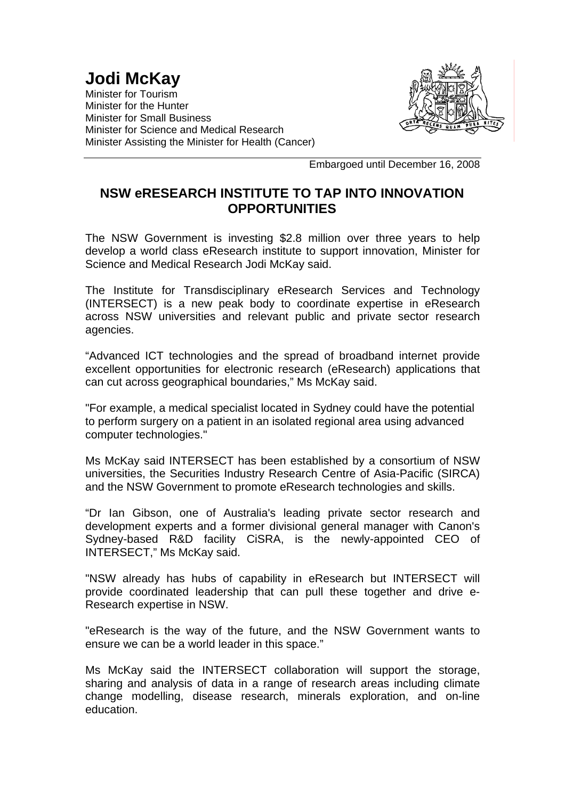## **Jodi McKay**

Minister for Tourism Minister for the Hunter Minister for Small Business Minister for Science and Medical Research Minister Assisting the Minister for Health (Cancer)



Embargoed until December 16, 2008

## **NSW eRESEARCH INSTITUTE TO TAP INTO INNOVATION OPPORTUNITIES**

The NSW Government is investing \$2.8 million over three years to help develop a world class eResearch institute to support innovation, Minister for Science and Medical Research Jodi McKay said.

The Institute for Transdisciplinary eResearch Services and Technology (INTERSECT) is a new peak body to coordinate expertise in eResearch across NSW universities and relevant public and private sector research agencies.

"Advanced ICT technologies and the spread of broadband internet provide excellent opportunities for electronic research (eResearch) applications that can cut across geographical boundaries," Ms McKay said.

"For example, a medical specialist located in Sydney could have the potential to perform surgery on a patient in an isolated regional area using advanced computer technologies."

Ms McKay said INTERSECT has been established by a consortium of NSW universities, the Securities Industry Research Centre of Asia-Pacific (SIRCA) and the NSW Government to promote eResearch technologies and skills.

"Dr Ian Gibson, one of Australia's leading private sector research and development experts and a former divisional general manager with Canon's Sydney-based R&D facility CiSRA, is the newly-appointed CEO of INTERSECT," Ms McKay said.

"NSW already has hubs of capability in eResearch but INTERSECT will provide coordinated leadership that can pull these together and drive e-Research expertise in NSW.

"eResearch is the way of the future, and the NSW Government wants to ensure we can be a world leader in this space."

Ms McKay said the INTERSECT collaboration will support the storage, sharing and analysis of data in a range of research areas including climate change modelling, disease research, minerals exploration, and on-line education.